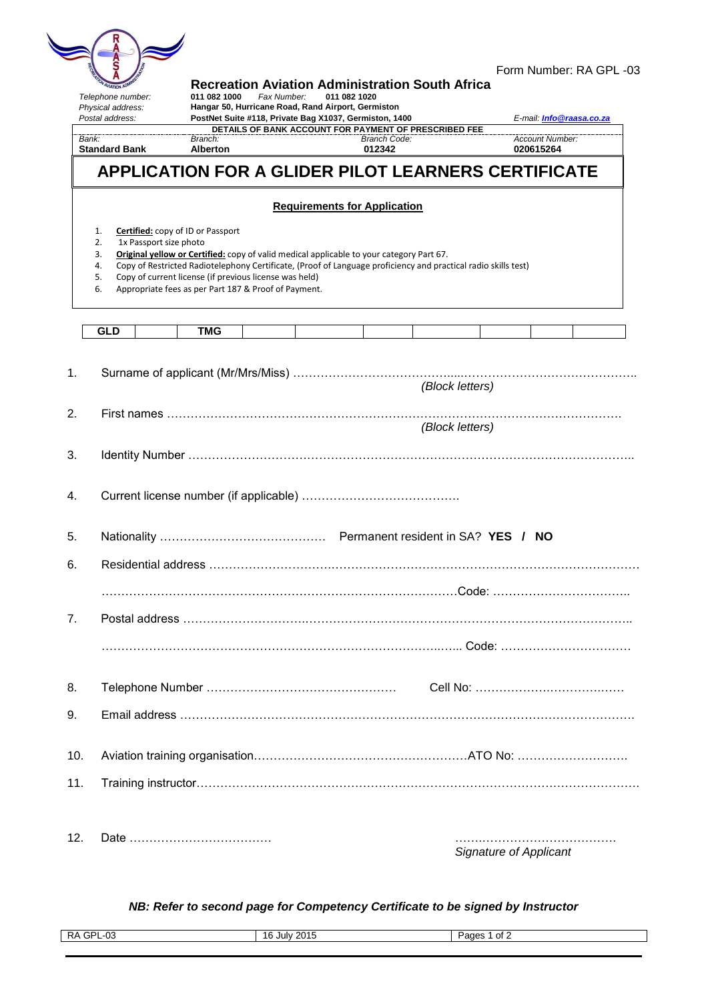| <b>SAMARIAN ADMINISTRATION</b> |  |
|--------------------------------|--|

| Telephone number:<br>Physical address:<br>Postal address:  | 011 082 1000                                                                                                                                               | Fax Number:<br>Hangar 50, Hurricane Road, Rand Airport, Germiston<br>PostNet Suite #118, Private Bag X1037, Germiston, 1400 | <b>Recreation Aviation Administration South Africa</b><br>011 082 1020                                                                                                                                     |                                    | E-mail: <i>Info@raasa.co.za</i>     |
|------------------------------------------------------------|------------------------------------------------------------------------------------------------------------------------------------------------------------|-----------------------------------------------------------------------------------------------------------------------------|------------------------------------------------------------------------------------------------------------------------------------------------------------------------------------------------------------|------------------------------------|-------------------------------------|
| Bank:<br><b>Standard Bank</b>                              | Branch:<br><b>Alberton</b>                                                                                                                                 |                                                                                                                             | DETAILS OF BANK ACCOUNT FOR PAYMENT OF PRESCRIBED FEE<br><b>Branch Code:</b><br>012342                                                                                                                     |                                    | <b>Account Number:</b><br>020615264 |
|                                                            |                                                                                                                                                            |                                                                                                                             | APPLICATION FOR A GLIDER PILOT LEARNERS CERTIFICATE                                                                                                                                                        |                                    |                                     |
|                                                            |                                                                                                                                                            | <b>Requirements for Application</b>                                                                                         |                                                                                                                                                                                                            |                                    |                                     |
| 1.<br>1x Passport size photo<br>2.<br>3.<br>4.<br>5.<br>6. | <b>Certified:</b> copy of ID or Passport<br>Copy of current license (if previous license was held)<br>Appropriate fees as per Part 187 & Proof of Payment. |                                                                                                                             | Original yellow or Certified: copy of valid medical applicable to your category Part 67.<br>Copy of Restricted Radiotelephony Certificate, (Proof of Language proficiency and practical radio skills test) |                                    |                                     |
| GLD                                                        | TMG                                                                                                                                                        |                                                                                                                             |                                                                                                                                                                                                            |                                    |                                     |
|                                                            |                                                                                                                                                            |                                                                                                                             |                                                                                                                                                                                                            | (Block letters)<br>(Block letters) |                                     |
|                                                            |                                                                                                                                                            |                                                                                                                             |                                                                                                                                                                                                            |                                    |                                     |
|                                                            |                                                                                                                                                            |                                                                                                                             |                                                                                                                                                                                                            |                                    |                                     |
|                                                            |                                                                                                                                                            |                                                                                                                             |                                                                                                                                                                                                            |                                    |                                     |
|                                                            |                                                                                                                                                            |                                                                                                                             |                                                                                                                                                                                                            |                                    |                                     |
|                                                            |                                                                                                                                                            |                                                                                                                             |                                                                                                                                                                                                            |                                    |                                     |
|                                                            |                                                                                                                                                            |                                                                                                                             |                                                                                                                                                                                                            |                                    |                                     |
|                                                            |                                                                                                                                                            |                                                                                                                             |                                                                                                                                                                                                            |                                    |                                     |
|                                                            |                                                                                                                                                            |                                                                                                                             |                                                                                                                                                                                                            |                                    |                                     |
|                                                            |                                                                                                                                                            |                                                                                                                             |                                                                                                                                                                                                            |                                    |                                     |
|                                                            |                                                                                                                                                            |                                                                                                                             |                                                                                                                                                                                                            |                                    |                                     |

12. Date ……………………………… …….…………………………….

*Signature of Applicant*

## *NB: Refer to second page for Competency Certificate to be signed by Instructor*

| GPL-03<br>RA | <b>July 2015</b><br>16 | Pages |
|--------------|------------------------|-------|
|              |                        | ot 2  |
|              |                        |       |